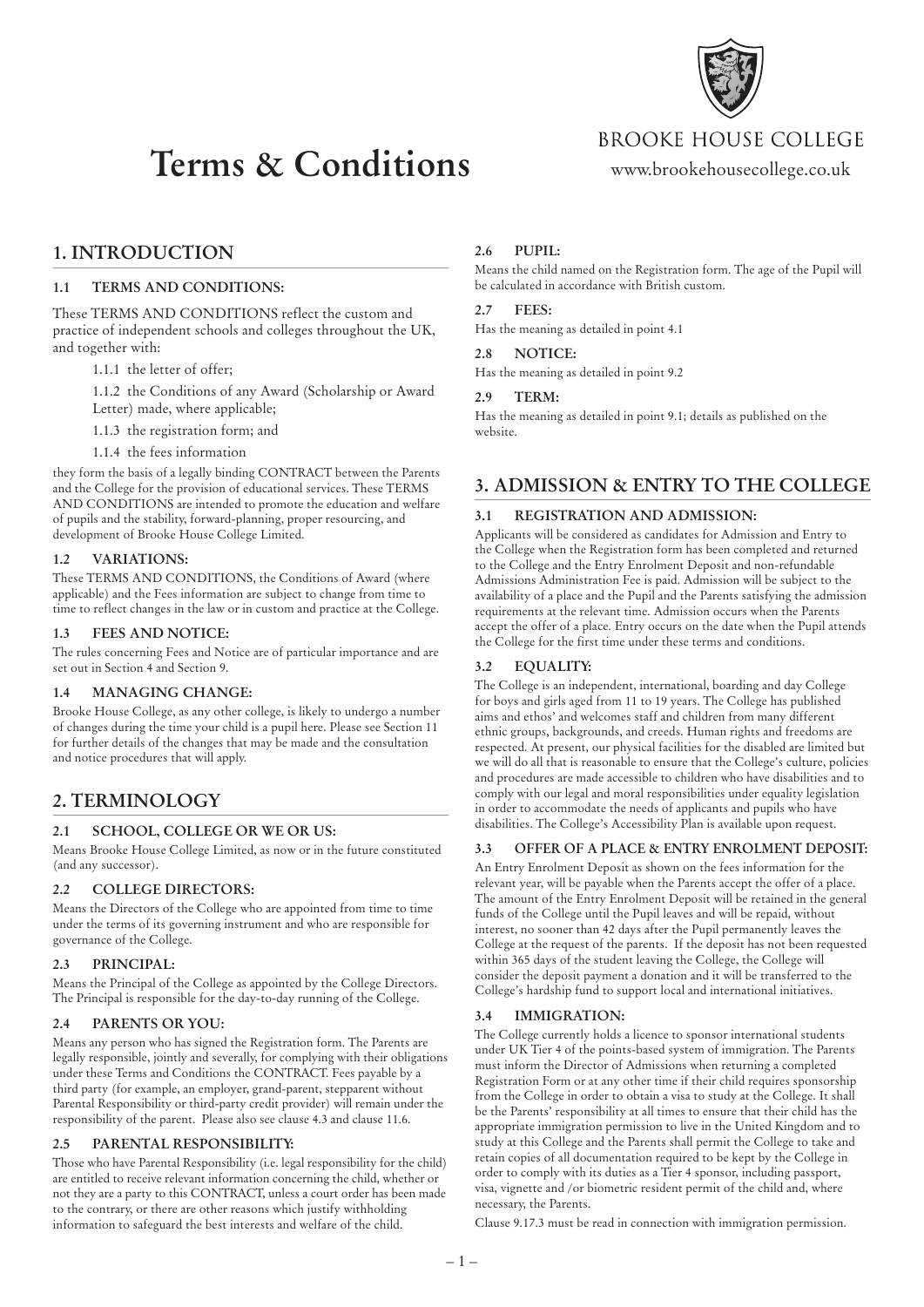

# **Terms & Conditions**

BROOKE HOUSE COLLEGE

www.brookehousecollege.co.uk

# **1. INTRODUCTION**

### **1.1 TERMS AND CONDITIONS:**

These TERMS AND CONDITIONS reflect the custom and practice of independent schools and colleges throughout the UK, and together with:

1.1.1 the letter of offer;

1.1.2 the Conditions of any Award (Scholarship or Award Letter) made, where applicable;

1.1.3 the registration form; and

1.1.4 the fees information

they form the basis of a legally binding CONTRACT between the Parents and the College for the provision of educational services. These TERMS AND CONDITIONS are intended to promote the education and welfare of pupils and the stability, forward-planning, proper resourcing, and development of Brooke House College Limited.

# **1.2 VARIATIONS:**

These TERMS AND CONDITIONS, the Conditions of Award (where applicable) and the Fees information are subject to change from time to time to reflect changes in the law or in custom and practice at the College.

# **1.3 FEES AND NOTICE:**

The rules concerning Fees and Notice are of particular importance and are set out in Section 4 and Section 9.

# **1.4 MANAGING CHANGE:**

Brooke House College, as any other college, is likely to undergo a number of changes during the time your child is a pupil here. Please see Section 11 for further details of the changes that may be made and the consultation and notice procedures that will apply.

# **2. TERMINOLOGY**

# **2.1 SCHOOL, COLLEGE OR WE OR US:**

Means Brooke House College Limited, as now or in the future constituted (and any successor).

# **2.2 COLLEGE DIRECTORS:**

Means the Directors of the College who are appointed from time to time under the terms of its governing instrument and who are responsible for governance of the College.

# **2.3 PRINCIPAL:**

Means the Principal of the College as appointed by the College Directors. The Principal is responsible for the day-to-day running of the College.

# **2.4 PARENTS OR YOU:**

Means any person who has signed the Registration form. The Parents are legally responsible, jointly and severally, for complying with their obligations under these Terms and Conditions the CONTRACT. Fees payable by a third party (for example, an employer, grand-parent, stepparent without Parental Responsibility or third-party credit provider) will remain under the responsibility of the parent. Please also see clause 4.3 and clause 11.6.

# **2.5 PARENTAL RESPONSIBILITY:**

Those who have Parental Responsibility (i.e. legal responsibility for the child) are entitled to receive relevant information concerning the child, whether or not they are a party to this CONTRACT, unless a court order has been made to the contrary, or there are other reasons which justify withholding information to safeguard the best interests and welfare of the child.

#### **2.6 PUPIL:**

Means the child named on the Registration form. The age of the Pupil will be calculated in accordance with British custom.

#### **2.7 FEES:**

Has the meaning as detailed in point 4.1

# **2.8 NOTICE:**

Has the meaning as detailed in point 9.2

#### **2.9 TERM:**

Has the meaning as detailed in point 9.1; details as published on the website.

# **3. ADMISSION & ENTRY TO THE COLLEGE**

# **3.1 REGISTRATION AND ADMISSION:**

Applicants will be considered as candidates for Admission and Entry to the College when the Registration form has been completed and returned to the College and the Entry Enrolment Deposit and non-refundable Admissions Administration Fee is paid. Admission will be subject to the availability of a place and the Pupil and the Parents satisfying the admission requirements at the relevant time. Admission occurs when the Parents accept the offer of a place. Entry occurs on the date when the Pupil attends the College for the first time under these terms and conditions.

# **3.2 EQUALITY:**

The College is an independent, international, boarding and day College for boys and girls aged from 11 to 19 years. The College has published aims and ethos' and welcomes staff and children from many different ethnic groups, backgrounds, and creeds. Human rights and freedoms are respected. At present, our physical facilities for the disabled are limited but we will do all that is reasonable to ensure that the College's culture, policies and procedures are made accessible to children who have disabilities and to comply with our legal and moral responsibilities under equality legislation in order to accommodate the needs of applicants and pupils who have disabilities. The College's Accessibility Plan is available upon request.

# **3.3 OFFER OF A PLACE & ENTRY ENROLMENT DEPOSIT:**

An Entry Enrolment Deposit as shown on the fees information for the relevant year, will be payable when the Parents accept the offer of a place. The amount of the Entry Enrolment Deposit will be retained in the general funds of the College until the Pupil leaves and will be repaid, without interest, no sooner than 42 days after the Pupil permanently leaves the College at the request of the parents. If the deposit has not been requested within 365 days of the student leaving the College, the College will consider the deposit payment a donation and it will be transferred to the College's hardship fund to support local and international initiatives.

# **3.4 IMMIGRATION:**

The College currently holds a licence to sponsor international students under UK Tier 4 of the points-based system of immigration. The Parents must inform the Director of Admissions when returning a completed Registration Form or at any other time if their child requires sponsorship from the College in order to obtain a visa to study at the College. It shall be the Parents' responsibility at all times to ensure that their child has the appropriate immigration permission to live in the United Kingdom and to study at this College and the Parents shall permit the College to take and retain copies of all documentation required to be kept by the College in order to comply with its duties as a Tier 4 sponsor, including passport, visa, vignette and /or biometric resident permit of the child and, where necessary, the Parents.

Clause 9.17.3 must be read in connection with immigration permission.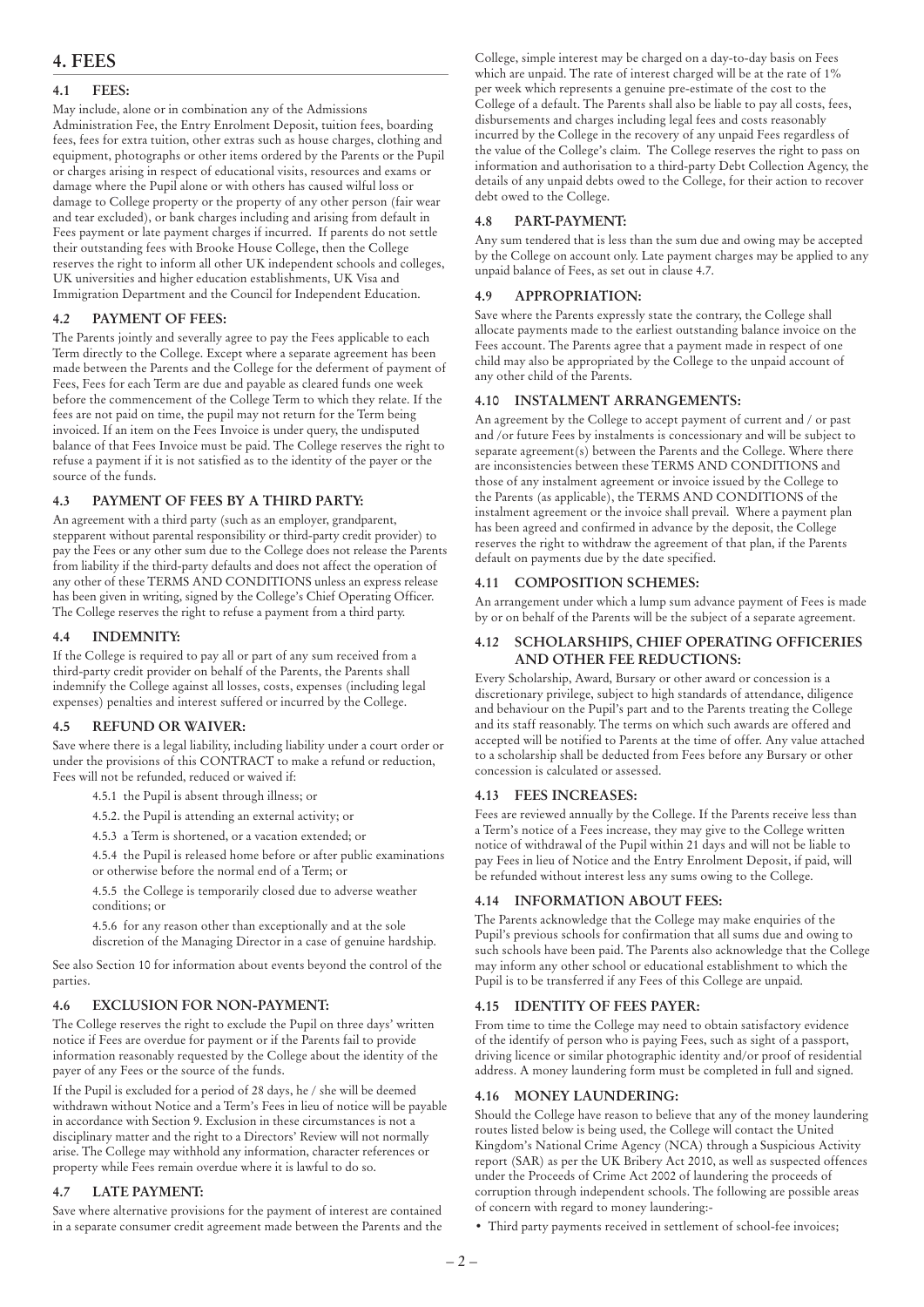# **4.1 FEES:**

May include, alone or in combination any of the Admissions Administration Fee, the Entry Enrolment Deposit, tuition fees, boarding fees, fees for extra tuition, other extras such as house charges, clothing and equipment, photographs or other items ordered by the Parents or the Pupil or charges arising in respect of educational visits, resources and exams or damage where the Pupil alone or with others has caused wilful loss or damage to College property or the property of any other person (fair wear and tear excluded), or bank charges including and arising from default in Fees payment or late payment charges if incurred. If parents do not settle their outstanding fees with Brooke House College, then the College reserves the right to inform all other UK independent schools and colleges, UK universities and higher education establishments, UK Visa and Immigration Department and the Council for Independent Education.

# **4.2 PAYMENT OF FEES:**

The Parents jointly and severally agree to pay the Fees applicable to each Term directly to the College. Except where a separate agreement has been made between the Parents and the College for the deferment of payment of Fees, Fees for each Term are due and payable as cleared funds one week before the commencement of the College Term to which they relate. If the fees are not paid on time, the pupil may not return for the Term being invoiced. If an item on the Fees Invoice is under query, the undisputed balance of that Fees Invoice must be paid. The College reserves the right to refuse a payment if it is not satisfied as to the identity of the payer or the source of the funds.

# **4.3 PAYMENT OF FEES BY A THIRD PARTY:**

An agreement with a third party (such as an employer, grandparent, stepparent without parental responsibility or third-party credit provider) to pay the Fees or any other sum due to the College does not release the Parents from liability if the third-party defaults and does not affect the operation of any other of these TERMS AND CONDITIONS unless an express release has been given in writing, signed by the College's Chief Operating Officer. The College reserves the right to refuse a payment from a third party.

# **4.4 INDEMNITY:**

If the College is required to pay all or part of any sum received from a third-party credit provider on behalf of the Parents, the Parents shall indemnify the College against all losses, costs, expenses (including legal expenses) penalties and interest suffered or incurred by the College.

# **4.5 REFUND OR WAIVER:**

Save where there is a legal liability, including liability under a court order or under the provisions of this CONTRACT to make a refund or reduction, Fees will not be refunded, reduced or waived if:

4.5.1 the Pupil is absent through illness; or

4.5.2. the Pupil is attending an external activity; or

4.5.3 a Term is shortened, or a vacation extended; or

4.5.4 the Pupil is released home before or after public examinations or otherwise before the normal end of a Term; or

4.5.5 the College is temporarily closed due to adverse weather conditions; or

4.5.6 for any reason other than exceptionally and at the sole discretion of the Managing Director in a case of genuine hardship.

See also Section 10 for information about events beyond the control of the parties.

# **4.6 EXCLUSION FOR NON-PAYMENT:**

The College reserves the right to exclude the Pupil on three days' written notice if Fees are overdue for payment or if the Parents fail to provide information reasonably requested by the College about the identity of the payer of any Fees or the source of the funds.

If the Pupil is excluded for a period of 28 days, he / she will be deemed withdrawn without Notice and a Term's Fees in lieu of notice will be payable in accordance with Section 9. Exclusion in these circumstances is not a disciplinary matter and the right to a Directors' Review will not normally arise. The College may withhold any information, character references or property while Fees remain overdue where it is lawful to do so.

# **4.7 LATE PAYMENT:**

Save where alternative provisions for the payment of interest are contained in a separate consumer credit agreement made between the Parents and the College, simple interest may be charged on a day-to-day basis on Fees which are unpaid. The rate of interest charged will be at the rate of 1% per week which represents a genuine pre-estimate of the cost to the College of a default. The Parents shall also be liable to pay all costs, fees, disbursements and charges including legal fees and costs reasonably incurred by the College in the recovery of any unpaid Fees regardless of the value of the College's claim. The College reserves the right to pass on information and authorisation to a third-party Debt Collection Agency, the details of any unpaid debts owed to the College, for their action to recover debt owed to the College.

# **4.8 PART-PAYMENT:**

Any sum tendered that is less than the sum due and owing may be accepted by the College on account only. Late payment charges may be applied to any unpaid balance of Fees, as set out in clause 4.7.

# **4.9 APPROPRIATION:**

Save where the Parents expressly state the contrary, the College shall allocate payments made to the earliest outstanding balance invoice on the Fees account. The Parents agree that a payment made in respect of one child may also be appropriated by the College to the unpaid account of any other child of the Parents.

# **4.10 INSTALMENT ARRANGEMENTS:**

An agreement by the College to accept payment of current and / or past and /or future Fees by instalments is concessionary and will be subject to separate agreement(s) between the Parents and the College. Where there are inconsistencies between these TERMS AND CONDITIONS and those of any instalment agreement or invoice issued by the College to the Parents (as applicable), the TERMS AND CONDITIONS of the instalment agreement or the invoice shall prevail. Where a payment plan has been agreed and confirmed in advance by the deposit, the College reserves the right to withdraw the agreement of that plan, if the Parents default on payments due by the date specified.

# **4.11 COMPOSITION SCHEMES:**

An arrangement under which a lump sum advance payment of Fees is made by or on behalf of the Parents will be the subject of a separate agreement.

#### **4.12 SCHOLARSHIPS, CHIEF OPERATING OFFICERIES AND OTHER FEE REDUCTIONS:**

Every Scholarship, Award, Bursary or other award or concession is a discretionary privilege, subject to high standards of attendance, diligence and behaviour on the Pupil's part and to the Parents treating the College and its staff reasonably. The terms on which such awards are offered and accepted will be notified to Parents at the time of offer. Any value attached to a scholarship shall be deducted from Fees before any Bursary or other concession is calculated or assessed.

# **4.13 FEES INCREASES:**

Fees are reviewed annually by the College. If the Parents receive less than a Term's notice of a Fees increase, they may give to the College written notice of withdrawal of the Pupil within 21 days and will not be liable to pay Fees in lieu of Notice and the Entry Enrolment Deposit, if paid, will be refunded without interest less any sums owing to the College.

# **4.14 INFORMATION ABOUT FEES:**

The Parents acknowledge that the College may make enquiries of the Pupil's previous schools for confirmation that all sums due and owing to such schools have been paid. The Parents also acknowledge that the College may inform any other school or educational establishment to which the Pupil is to be transferred if any Fees of this College are unpaid.

# **4.15 IDENTITY OF FEES PAYER:**

From time to time the College may need to obtain satisfactory evidence of the identify of person who is paying Fees, such as sight of a passport, driving licence or similar photographic identity and/or proof of residential address. A money laundering form must be completed in full and signed.

# **4.16 MONEY LAUNDERING:**

Should the College have reason to believe that any of the money laundering routes listed below is being used, the College will contact the United Kingdom's National Crime Agency (NCA) through a Suspicious Activity report (SAR) as per the UK Bribery Act 2010, as well as suspected offences under the Proceeds of Crime Act 2002 of laundering the proceeds of corruption through independent schools. The following are possible areas of concern with regard to money laundering:-

• Third party payments received in settlement of school-fee invoices;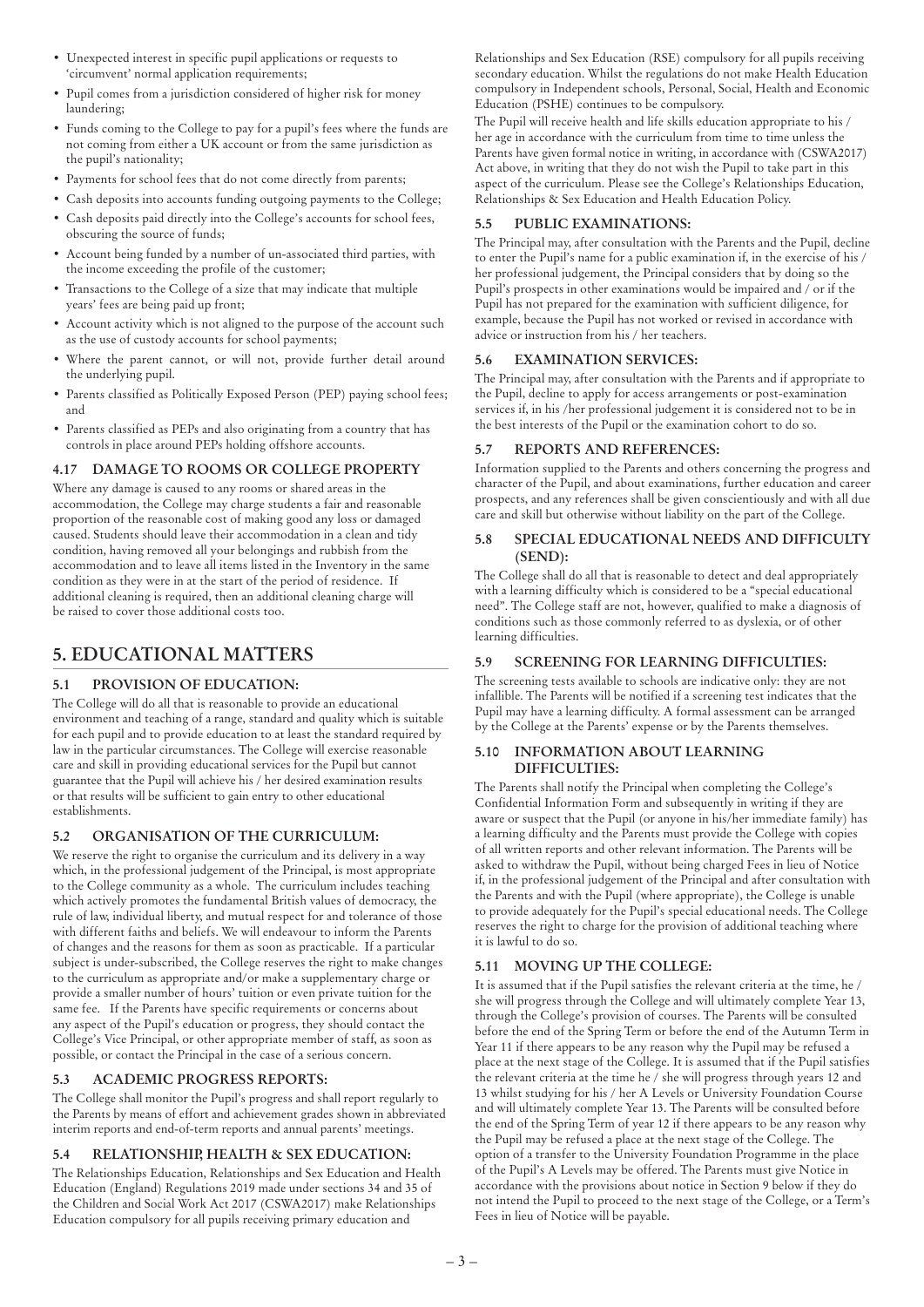- Unexpected interest in specific pupil applications or requests to 'circumvent' normal application requirements;
- Pupil comes from a jurisdiction considered of higher risk for money laundering;
- Funds coming to the College to pay for a pupil's fees where the funds are not coming from either a UK account or from the same jurisdiction as the pupil's nationality;
- Payments for school fees that do not come directly from parents;
- Cash deposits into accounts funding outgoing payments to the College;
- Cash deposits paid directly into the College's accounts for school fees, obscuring the source of funds;
- Account being funded by a number of un-associated third parties, with the income exceeding the profile of the customer;
- Transactions to the College of a size that may indicate that multiple years' fees are being paid up front;
- Account activity which is not aligned to the purpose of the account such as the use of custody accounts for school payments;
- Where the parent cannot, or will not, provide further detail around the underlying pupil.
- Parents classified as Politically Exposed Person (PEP) paying school fees; and
- Parents classified as PEPs and also originating from a country that has controls in place around PEPs holding offshore accounts.

# **4.17 DAMAGE TO ROOMS OR COLLEGE PROPERTY**

Where any damage is caused to any rooms or shared areas in the accommodation, the College may charge students a fair and reasonable proportion of the reasonable cost of making good any loss or damaged caused. Students should leave their accommodation in a clean and tidy condition, having removed all your belongings and rubbish from the accommodation and to leave all items listed in the Inventory in the same condition as they were in at the start of the period of residence. If additional cleaning is required, then an additional cleaning charge will be raised to cover those additional costs too.

# **5. EDUCATIONAL MATTERS**

# **5.1 PROVISION OF EDUCATION:**

The College will do all that is reasonable to provide an educational environment and teaching of a range, standard and quality which is suitable for each pupil and to provide education to at least the standard required by law in the particular circumstances. The College will exercise reasonable care and skill in providing educational services for the Pupil but cannot guarantee that the Pupil will achieve his / her desired examination results or that results will be sufficient to gain entry to other educational establishments.

# **5.2 ORGANISATION OF THE CURRICULUM:**

We reserve the right to organise the curriculum and its delivery in a way which, in the professional judgement of the Principal, is most appropriate to the College community as a whole. The curriculum includes teaching which actively promotes the fundamental British values of democracy, the rule of law, individual liberty, and mutual respect for and tolerance of those with different faiths and beliefs. We will endeavour to inform the Parents of changes and the reasons for them as soon as practicable. If a particular subject is under-subscribed, the College reserves the right to make changes to the curriculum as appropriate and/or make a supplementary charge or provide a smaller number of hours' tuition or even private tuition for the same fee. If the Parents have specific requirements or concerns about any aspect of the Pupil's education or progress, they should contact the College's Vice Principal, or other appropriate member of staff, as soon as possible, or contact the Principal in the case of a serious concern.

# **5.3 ACADEMIC PROGRESS REPORTS:**

The College shall monitor the Pupil's progress and shall report regularly to the Parents by means of effort and achievement grades shown in abbreviated interim reports and end-of-term reports and annual parents' meetings.

# **5.4 RELATIONSHIP, HEALTH & SEX EDUCATION:**

The Relationships Education, Relationships and Sex Education and Health Education (England) Regulations 2019 made under sections 34 and 35 of the Children and Social Work Act 2017 (CSWA2017) make Relationships Education compulsory for all pupils receiving primary education and

Relationships and Sex Education (RSE) compulsory for all pupils receiving secondary education. Whilst the regulations do not make Health Education compulsory in Independent schools, Personal, Social, Health and Economic Education (PSHE) continues to be compulsory.

The Pupil will receive health and life skills education appropriate to his / her age in accordance with the curriculum from time to time unless the Parents have given formal notice in writing, in accordance with (CSWA2017) Act above, in writing that they do not wish the Pupil to take part in this aspect of the curriculum. Please see the College's Relationships Education, Relationships & Sex Education and Health Education Policy.

# **5.5 PUBLIC EXAMINATIONS:**

The Principal may, after consultation with the Parents and the Pupil, decline to enter the Pupil's name for a public examination if, in the exercise of his / her professional judgement, the Principal considers that by doing so the Pupil's prospects in other examinations would be impaired and / or if the Pupil has not prepared for the examination with sufficient diligence, for example, because the Pupil has not worked or revised in accordance with advice or instruction from his / her teachers.

# **5.6 EXAMINATION SERVICES:**

The Principal may, after consultation with the Parents and if appropriate to the Pupil, decline to apply for access arrangements or post-examination services if, in his /her professional judgement it is considered not to be in the best interests of the Pupil or the examination cohort to do so.

# **5.7 REPORTS AND REFERENCES:**

Information supplied to the Parents and others concerning the progress and character of the Pupil, and about examinations, further education and career prospects, and any references shall be given conscientiously and with all due care and skill but otherwise without liability on the part of the College.

# **5.8 SPECIAL EDUCATIONAL NEEDS AND DIFFICULTY (SEND):**

The College shall do all that is reasonable to detect and deal appropriately with a learning difficulty which is considered to be a "special educational need". The College staff are not, however, qualified to make a diagnosis of conditions such as those commonly referred to as dyslexia, or of other learning difficulties.

# **5.9 SCREENING FOR LEARNING DIFFICULTIES:**

The screening tests available to schools are indicative only: they are not infallible. The Parents will be notified if a screening test indicates that the Pupil may have a learning difficulty. A formal assessment can be arranged by the College at the Parents' expense or by the Parents themselves.

# **5.10 INFORMATION ABOUT LEARNING DIFFICULTIES:**

The Parents shall notify the Principal when completing the College's Confidential Information Form and subsequently in writing if they are aware or suspect that the Pupil (or anyone in his/her immediate family) has a learning difficulty and the Parents must provide the College with copies of all written reports and other relevant information. The Parents will be asked to withdraw the Pupil, without being charged Fees in lieu of Notice if, in the professional judgement of the Principal and after consultation with the Parents and with the Pupil (where appropriate), the College is unable to provide adequately for the Pupil's special educational needs. The College reserves the right to charge for the provision of additional teaching where it is lawful to do so.

# **5.11 MOVING UP THE COLLEGE:**

It is assumed that if the Pupil satisfies the relevant criteria at the time, he / she will progress through the College and will ultimately complete Year 13, through the College's provision of courses. The Parents will be consulted before the end of the Spring Term or before the end of the Autumn Term in Year 11 if there appears to be any reason why the Pupil may be refused a place at the next stage of the College. It is assumed that if the Pupil satisfies the relevant criteria at the time he / she will progress through years 12 and 13 whilst studying for his / her A Levels or University Foundation Course and will ultimately complete Year 13. The Parents will be consulted before the end of the Spring Term of year 12 if there appears to be any reason why the Pupil may be refused a place at the next stage of the College. The option of a transfer to the University Foundation Programme in the place of the Pupil's A Levels may be offered. The Parents must give Notice in accordance with the provisions about notice in Section 9 below if they do not intend the Pupil to proceed to the next stage of the College, or a Term's Fees in lieu of Notice will be payable.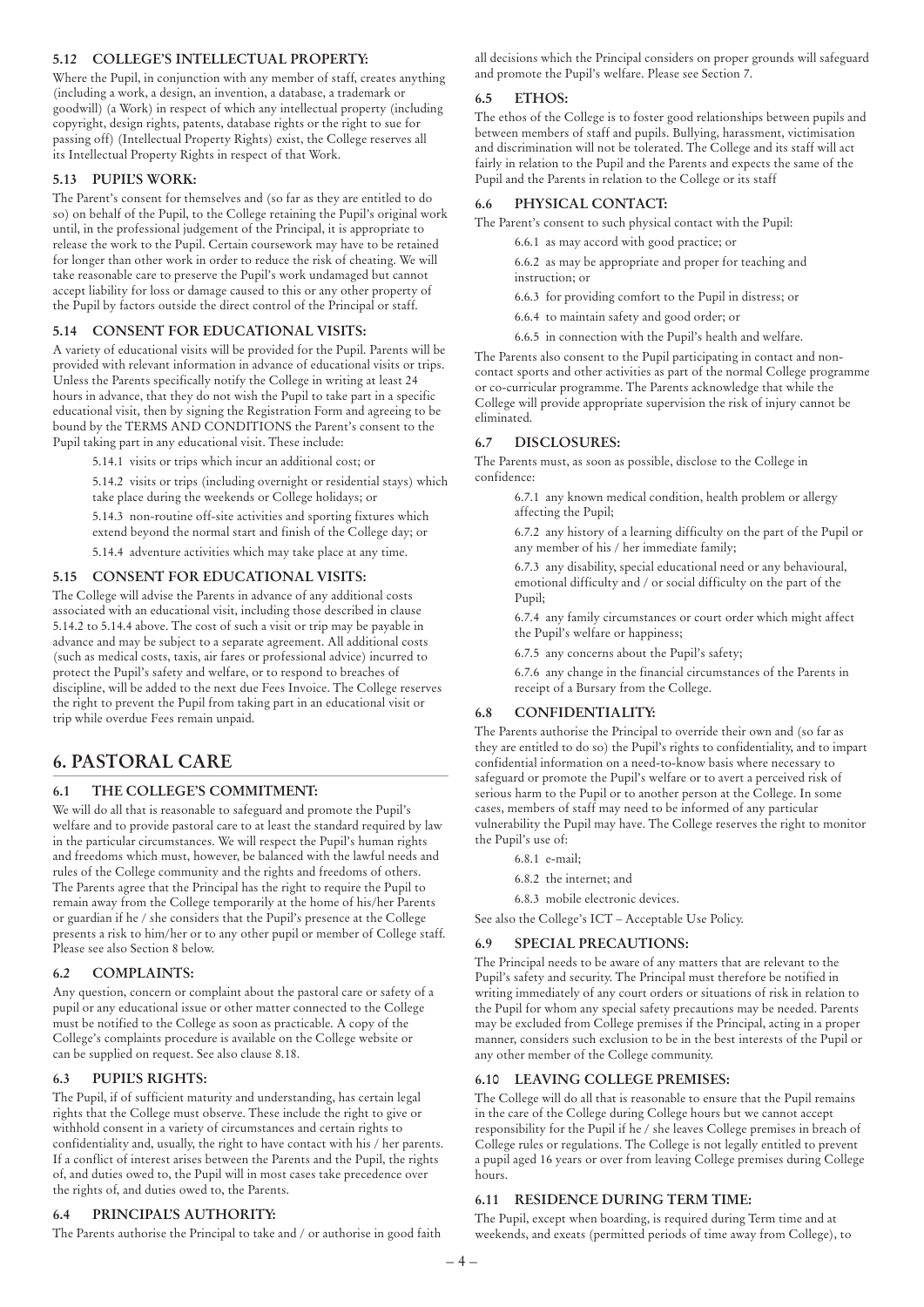# **5.12 COLLEGE'S INTELLECTUAL PROPERTY:**

Where the Pupil, in conjunction with any member of staff, creates anything (including a work, a design, an invention, a database, a trademark or goodwill) (a Work) in respect of which any intellectual property (including copyright, design rights, patents, database rights or the right to sue for passing off) (Intellectual Property Rights) exist, the College reserves all its Intellectual Property Rights in respect of that Work.

### **5.13 PUPIL'S WORK:**

The Parent's consent for themselves and (so far as they are entitled to do so) on behalf of the Pupil, to the College retaining the Pupil's original work until, in the professional judgement of the Principal, it is appropriate to release the work to the Pupil. Certain coursework may have to be retained for longer than other work in order to reduce the risk of cheating. We will take reasonable care to preserve the Pupil's work undamaged but cannot accept liability for loss or damage caused to this or any other property of the Pupil by factors outside the direct control of the Principal or staff.

#### **5.14 CONSENT FOR EDUCATIONAL VISITS:**

A variety of educational visits will be provided for the Pupil. Parents will be provided with relevant information in advance of educational visits or trips. Unless the Parents specifically notify the College in writing at least 24 hours in advance, that they do not wish the Pupil to take part in a specific educational visit, then by signing the Registration Form and agreeing to be bound by the TERMS AND CONDITIONS the Parent's consent to the Pupil taking part in any educational visit. These include:

5.14.1 visits or trips which incur an additional cost; or

5.14.2 visits or trips (including overnight or residential stays) which take place during the weekends or College holidays; or

5.14.3 non-routine off-site activities and sporting fixtures which extend beyond the normal start and finish of the College day; or

5.14.4 adventure activities which may take place at any time.

#### **5.15 CONSENT FOR EDUCATIONAL VISITS:**

The College will advise the Parents in advance of any additional costs associated with an educational visit, including those described in clause 5.14.2 to 5.14.4 above. The cost of such a visit or trip may be payable in advance and may be subject to a separate agreement. All additional costs (such as medical costs, taxis, air fares or professional advice) incurred to protect the Pupil's safety and welfare, or to respond to breaches of discipline, will be added to the next due Fees Invoice. The College reserves the right to prevent the Pupil from taking part in an educational visit or trip while overdue Fees remain unpaid.

# **6. PASTORAL CARE**

# **6.1 THE COLLEGE'S COMMITMENT:**

We will do all that is reasonable to safeguard and promote the Pupil's welfare and to provide pastoral care to at least the standard required by law in the particular circumstances. We will respect the Pupil's human rights and freedoms which must, however, be balanced with the lawful needs and rules of the College community and the rights and freedoms of others. The Parents agree that the Principal has the right to require the Pupil to remain away from the College temporarily at the home of his/her Parents or guardian if he / she considers that the Pupil's presence at the College presents a risk to him/her or to any other pupil or member of College staff. Please see also Section 8 below.

#### **6.2 COMPLAINTS:**

Any question, concern or complaint about the pastoral care or safety of a pupil or any educational issue or other matter connected to the College must be notified to the College as soon as practicable. A copy of the College's complaints procedure is available on the College website or can be supplied on request. See also clause 8.18.

### **6.3 PUPIL'S RIGHTS:**

The Pupil, if of sufficient maturity and understanding, has certain legal rights that the College must observe. These include the right to give or withhold consent in a variety of circumstances and certain rights to confidentiality and, usually, the right to have contact with his / her parents. If a conflict of interest arises between the Parents and the Pupil, the rights of, and duties owed to, the Pupil will in most cases take precedence over the rights of, and duties owed to, the Parents.

#### **6.4 PRINCIPAL'S AUTHORITY:**

The Parents authorise the Principal to take and / or authorise in good faith

all decisions which the Principal considers on proper grounds will safeguard and promote the Pupil's welfare. Please see Section 7.

#### **6.5 ETHOS:**

The ethos of the College is to foster good relationships between pupils and between members of staff and pupils. Bullying, harassment, victimisation and discrimination will not be tolerated. The College and its staff will act fairly in relation to the Pupil and the Parents and expects the same of the Pupil and the Parents in relation to the College or its staff

#### **6.6 PHYSICAL CONTACT:**

The Parent's consent to such physical contact with the Pupil:

6.6.1 as may accord with good practice; or

6.6.2 as may be appropriate and proper for teaching and instruction; or

- 6.6.3 for providing comfort to the Pupil in distress; or
- 6.6.4 to maintain safety and good order; or
- 6.6.5 in connection with the Pupil's health and welfare.

The Parents also consent to the Pupil participating in contact and noncontact sports and other activities as part of the normal College programme or co-curricular programme. The Parents acknowledge that while the College will provide appropriate supervision the risk of injury cannot be eliminated.

#### **6.7 DISCLOSURES:**

The Parents must, as soon as possible, disclose to the College in confidence:

> 6.7.1 any known medical condition, health problem or allergy affecting the Pupil;

6.7.2 any history of a learning difficulty on the part of the Pupil or any member of his / her immediate family;

6.7.3 any disability, special educational need or any behavioural, emotional difficulty and / or social difficulty on the part of the Pupil;

6.7.4 any family circumstances or court order which might affect the Pupil's welfare or happiness;

6.7.5 any concerns about the Pupil's safety;

6.7.6 any change in the financial circumstances of the Parents in receipt of a Bursary from the College.

#### **6.8 CONFIDENTIALITY:**

The Parents authorise the Principal to override their own and (so far as they are entitled to do so) the Pupil's rights to confidentiality, and to impart confidential information on a need-to-know basis where necessary to safeguard or promote the Pupil's welfare or to avert a perceived risk of serious harm to the Pupil or to another person at the College. In some cases, members of staff may need to be informed of any particular vulnerability the Pupil may have. The College reserves the right to monitor the Pupil's use of:

- 6.8.1 e-mail;
- 6.8.2 the internet; and
- 6.8.3 mobile electronic devices.

See also the College's ICT – Acceptable Use Policy.

#### **6.9 SPECIAL PRECAUTIONS:**

The Principal needs to be aware of any matters that are relevant to the Pupil's safety and security. The Principal must therefore be notified in writing immediately of any court orders or situations of risk in relation to the Pupil for whom any special safety precautions may be needed. Parents may be excluded from College premises if the Principal, acting in a proper manner, considers such exclusion to be in the best interests of the Pupil or any other member of the College community.

#### **6.10 LEAVING COLLEGE PREMISES:**

The College will do all that is reasonable to ensure that the Pupil remains in the care of the College during College hours but we cannot accept responsibility for the Pupil if he / she leaves College premises in breach of College rules or regulations. The College is not legally entitled to prevent a pupil aged 16 years or over from leaving College premises during College hours.

### **6.11 RESIDENCE DURING TERM TIME:**

The Pupil, except when boarding, is required during Term time and at weekends, and exeats (permitted periods of time away from College), to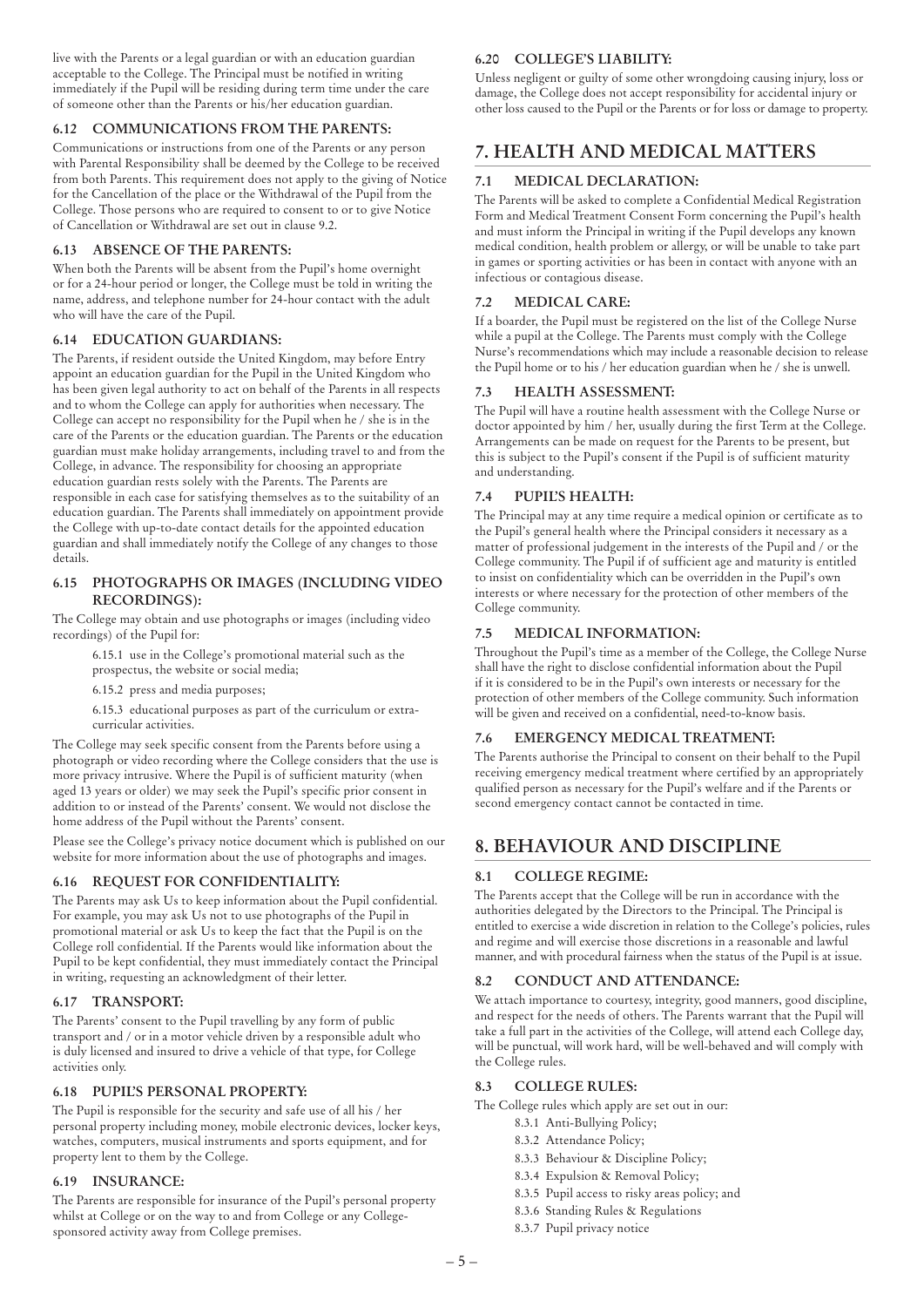live with the Parents or a legal guardian or with an education guardian acceptable to the College. The Principal must be notified in writing immediately if the Pupil will be residing during term time under the care of someone other than the Parents or his/her education guardian.

### **6.12 COMMUNICATIONS FROM THE PARENTS:**

Communications or instructions from one of the Parents or any person with Parental Responsibility shall be deemed by the College to be received from both Parents. This requirement does not apply to the giving of Notice for the Cancellation of the place or the Withdrawal of the Pupil from the College. Those persons who are required to consent to or to give Notice of Cancellation or Withdrawal are set out in clause 9.2.

### **6.13 ABSENCE OF THE PARENTS:**

When both the Parents will be absent from the Pupil's home overnight or for a 24-hour period or longer, the College must be told in writing the name, address, and telephone number for 24-hour contact with the adult who will have the care of the Pupil.

#### **6.14 EDUCATION GUARDIANS:**

The Parents, if resident outside the United Kingdom, may before Entry appoint an education guardian for the Pupil in the United Kingdom who has been given legal authority to act on behalf of the Parents in all respects and to whom the College can apply for authorities when necessary. The College can accept no responsibility for the Pupil when he / she is in the care of the Parents or the education guardian. The Parents or the education guardian must make holiday arrangements, including travel to and from the College, in advance. The responsibility for choosing an appropriate education guardian rests solely with the Parents. The Parents are responsible in each case for satisfying themselves as to the suitability of an education guardian. The Parents shall immediately on appointment provide the College with up-to-date contact details for the appointed education guardian and shall immediately notify the College of any changes to those details.

#### **6.15 PHOTOGRAPHS OR IMAGES (INCLUDING VIDEO RECORDINGS):**

The College may obtain and use photographs or images (including video recordings) of the Pupil for:

6.15.1 use in the College's promotional material such as the prospectus, the website or social media;

6.15.2 press and media purposes;

6.15.3 educational purposes as part of the curriculum or extracurricular activities.

The College may seek specific consent from the Parents before using a photograph or video recording where the College considers that the use is more privacy intrusive. Where the Pupil is of sufficient maturity (when aged 13 years or older) we may seek the Pupil's specific prior consent in addition to or instead of the Parents' consent. We would not disclose the home address of the Pupil without the Parents' consent.

Please see the College's privacy notice document which is published on our website for more information about the use of photographs and images.

# **6.16 REQUEST FOR CONFIDENTIALITY:**

The Parents may ask Us to keep information about the Pupil confidential. For example, you may ask Us not to use photographs of the Pupil in promotional material or ask Us to keep the fact that the Pupil is on the College roll confidential. If the Parents would like information about the Pupil to be kept confidential, they must immediately contact the Principal in writing, requesting an acknowledgment of their letter.

#### **6.17 TRANSPORT:**

The Parents' consent to the Pupil travelling by any form of public transport and / or in a motor vehicle driven by a responsible adult who is duly licensed and insured to drive a vehicle of that type, for College activities only.

#### **6.18 PUPIL'S PERSONAL PROPERTY:**

The Pupil is responsible for the security and safe use of all his / her personal property including money, mobile electronic devices, locker keys, watches, computers, musical instruments and sports equipment, and for property lent to them by the College.

#### **6.19 INSURANCE:**

The Parents are responsible for insurance of the Pupil's personal property whilst at College or on the way to and from College or any Collegesponsored activity away from College premises.

# **6.20 COLLEGE'S LIABILITY:**

Unless negligent or guilty of some other wrongdoing causing injury, loss or damage, the College does not accept responsibility for accidental injury or other loss caused to the Pupil or the Parents or for loss or damage to property.

# **7. HEALTH AND MEDICAL MATTERS**

# **7.1 MEDICAL DECLARATION:**

The Parents will be asked to complete a Confidential Medical Registration Form and Medical Treatment Consent Form concerning the Pupil's health and must inform the Principal in writing if the Pupil develops any known medical condition, health problem or allergy, or will be unable to take part in games or sporting activities or has been in contact with anyone with an infectious or contagious disease.

# **7.2 MEDICAL CARE:**

If a boarder, the Pupil must be registered on the list of the College Nurse while a pupil at the College. The Parents must comply with the College Nurse's recommendations which may include a reasonable decision to release the Pupil home or to his / her education guardian when he / she is unwell.

#### **7.3 HEALTH ASSESSMENT:**

The Pupil will have a routine health assessment with the College Nurse or doctor appointed by him / her, usually during the first Term at the College. Arrangements can be made on request for the Parents to be present, but this is subject to the Pupil's consent if the Pupil is of sufficient maturity and understanding.

#### **7.4 PUPIL'S HEALTH:**

The Principal may at any time require a medical opinion or certificate as to the Pupil's general health where the Principal considers it necessary as a matter of professional judgement in the interests of the Pupil and / or the College community. The Pupil if of sufficient age and maturity is entitled to insist on confidentiality which can be overridden in the Pupil's own interests or where necessary for the protection of other members of the College community.

#### **7.5 MEDICAL INFORMATION:**

Throughout the Pupil's time as a member of the College, the College Nurse shall have the right to disclose confidential information about the Pupil if it is considered to be in the Pupil's own interests or necessary for the protection of other members of the College community. Such information will be given and received on a confidential, need-to-know basis.

# **7.6 EMERGENCY MEDICAL TREATMENT:**

The Parents authorise the Principal to consent on their behalf to the Pupil receiving emergency medical treatment where certified by an appropriately qualified person as necessary for the Pupil's welfare and if the Parents or second emergency contact cannot be contacted in time.

# **8. BEHAVIOUR AND DISCIPLINE**

# **8.1 COLLEGE REGIME:**

The Parents accept that the College will be run in accordance with the authorities delegated by the Directors to the Principal. The Principal is entitled to exercise a wide discretion in relation to the College's policies, rules and regime and will exercise those discretions in a reasonable and lawful manner, and with procedural fairness when the status of the Pupil is at issue.

# **8.2 CONDUCT AND ATTENDANCE:**

We attach importance to courtesy, integrity, good manners, good discipline, and respect for the needs of others. The Parents warrant that the Pupil will take a full part in the activities of the College, will attend each College day, will be punctual, will work hard, will be well-behaved and will comply with the College rules.

#### **8.3 COLLEGE RULES:**

The College rules which apply are set out in our:

- 8.3.1 Anti-Bullying Policy;
- 8.3.2 Attendance Policy;
- 8.3.3 Behaviour & Discipline Policy;
- 8.3.4 Expulsion & Removal Policy;
- 8.3.5 Pupil access to risky areas policy; and
- 8.3.6 Standing Rules & Regulations
- 8.3.7 Pupil privacy notice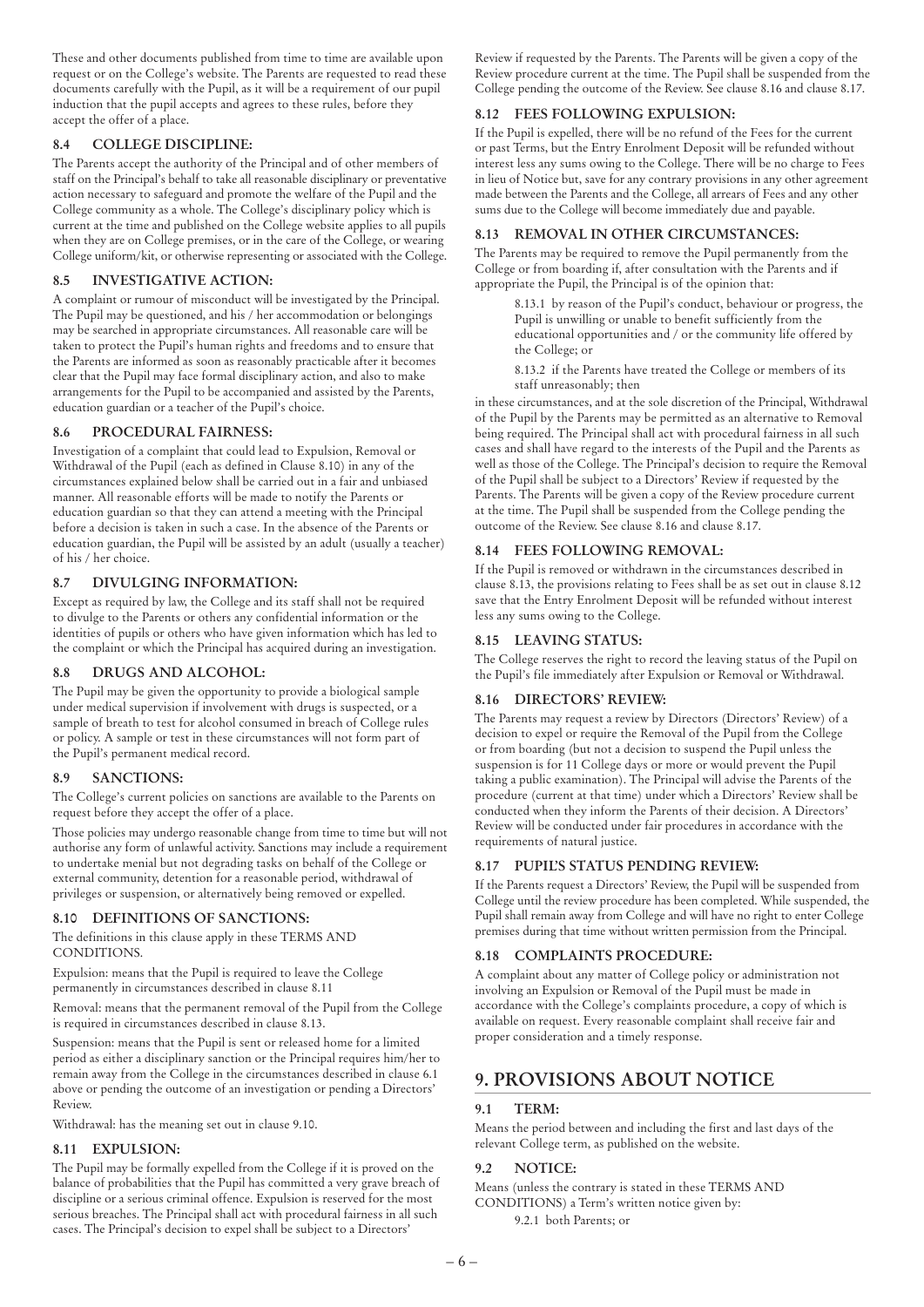These and other documents published from time to time are available upon request or on the College's website. The Parents are requested to read these documents carefully with the Pupil, as it will be a requirement of our pupil induction that the pupil accepts and agrees to these rules, before they accept the offer of a place.

# **8.4 COLLEGE DISCIPLINE:**

The Parents accept the authority of the Principal and of other members of staff on the Principal's behalf to take all reasonable disciplinary or preventative action necessary to safeguard and promote the welfare of the Pupil and the College community as a whole. The College's disciplinary policy which is current at the time and published on the College website applies to all pupils when they are on College premises, or in the care of the College, or wearing College uniform/kit, or otherwise representing or associated with the College.

# **8.5 INVESTIGATIVE ACTION:**

A complaint or rumour of misconduct will be investigated by the Principal. The Pupil may be questioned, and his / her accommodation or belongings may be searched in appropriate circumstances. All reasonable care will be taken to protect the Pupil's human rights and freedoms and to ensure that the Parents are informed as soon as reasonably practicable after it becomes clear that the Pupil may face formal disciplinary action, and also to make arrangements for the Pupil to be accompanied and assisted by the Parents, education guardian or a teacher of the Pupil's choice.

# **8.6 PROCEDURAL FAIRNESS:**

Investigation of a complaint that could lead to Expulsion, Removal or Withdrawal of the Pupil (each as defined in Clause 8.10) in any of the circumstances explained below shall be carried out in a fair and unbiased manner. All reasonable efforts will be made to notify the Parents or education guardian so that they can attend a meeting with the Principal before a decision is taken in such a case. In the absence of the Parents or education guardian, the Pupil will be assisted by an adult (usually a teacher) of his / her choice.

# **8.7 DIVULGING INFORMATION:**

Except as required by law, the College and its staff shall not be required to divulge to the Parents or others any confidential information or the identities of pupils or others who have given information which has led to the complaint or which the Principal has acquired during an investigation.

# **8.8 DRUGS AND ALCOHOL:**

The Pupil may be given the opportunity to provide a biological sample under medical supervision if involvement with drugs is suspected, or a sample of breath to test for alcohol consumed in breach of College rules or policy. A sample or test in these circumstances will not form part of the Pupil's permanent medical record.

# **8.9 SANCTIONS:**

The College's current policies on sanctions are available to the Parents on request before they accept the offer of a place.

Those policies may undergo reasonable change from time to time but will not authorise any form of unlawful activity. Sanctions may include a requirement to undertake menial but not degrading tasks on behalf of the College or external community, detention for a reasonable period, withdrawal of privileges or suspension, or alternatively being removed or expelled.

# **8.10 DEFINITIONS OF SANCTIONS:**

The definitions in this clause apply in these TERMS AND CONDITIONS.

Expulsion: means that the Pupil is required to leave the College permanently in circumstances described in clause 8.11

Removal: means that the permanent removal of the Pupil from the College is required in circumstances described in clause 8.13.

Suspension: means that the Pupil is sent or released home for a limited period as either a disciplinary sanction or the Principal requires him/her to remain away from the College in the circumstances described in clause 6.1 above or pending the outcome of an investigation or pending a Directors' Review.

Withdrawal: has the meaning set out in clause 9.10.

# **8.11 EXPULSION:**

The Pupil may be formally expelled from the College if it is proved on the balance of probabilities that the Pupil has committed a very grave breach of discipline or a serious criminal offence. Expulsion is reserved for the most serious breaches. The Principal shall act with procedural fairness in all such cases. The Principal's decision to expel shall be subject to a Directors'

Review if requested by the Parents. The Parents will be given a copy of the Review procedure current at the time. The Pupil shall be suspended from the College pending the outcome of the Review. See clause 8.16 and clause 8.17.

# **8.12 FEES FOLLOWING EXPULSION:**

If the Pupil is expelled, there will be no refund of the Fees for the current or past Terms, but the Entry Enrolment Deposit will be refunded without interest less any sums owing to the College. There will be no charge to Fees in lieu of Notice but, save for any contrary provisions in any other agreement made between the Parents and the College, all arrears of Fees and any other sums due to the College will become immediately due and payable.

# **8.13 REMOVAL IN OTHER CIRCUMSTANCES:**

The Parents may be required to remove the Pupil permanently from the College or from boarding if, after consultation with the Parents and if appropriate the Pupil, the Principal is of the opinion that:

8.13.1 by reason of the Pupil's conduct, behaviour or progress, the Pupil is unwilling or unable to benefit sufficiently from the educational opportunities and / or the community life offered by the College; or

8.13.2 if the Parents have treated the College or members of its staff unreasonably; then

in these circumstances, and at the sole discretion of the Principal, Withdrawal of the Pupil by the Parents may be permitted as an alternative to Removal being required. The Principal shall act with procedural fairness in all such cases and shall have regard to the interests of the Pupil and the Parents as well as those of the College. The Principal's decision to require the Removal of the Pupil shall be subject to a Directors' Review if requested by the Parents. The Parents will be given a copy of the Review procedure current at the time. The Pupil shall be suspended from the College pending the outcome of the Review. See clause 8.16 and clause 8.17.

# **8.14 FEES FOLLOWING REMOVAL:**

If the Pupil is removed or withdrawn in the circumstances described in clause 8.13, the provisions relating to Fees shall be as set out in clause 8.12 save that the Entry Enrolment Deposit will be refunded without interest less any sums owing to the College.

# **8.15 LEAVING STATUS:**

The College reserves the right to record the leaving status of the Pupil on the Pupil's file immediately after Expulsion or Removal or Withdrawal.

# **8.16 DIRECTORS' REVIEW:**

The Parents may request a review by Directors (Directors' Review) of a decision to expel or require the Removal of the Pupil from the College or from boarding (but not a decision to suspend the Pupil unless the suspension is for 11 College days or more or would prevent the Pupil taking a public examination). The Principal will advise the Parents of the procedure (current at that time) under which a Directors' Review shall be conducted when they inform the Parents of their decision. A Directors' Review will be conducted under fair procedures in accordance with the requirements of natural justice.

# **8.17 PUPIL'S STATUS PENDING REVIEW:**

If the Parents request a Directors' Review, the Pupil will be suspended from College until the review procedure has been completed. While suspended, the Pupil shall remain away from College and will have no right to enter College premises during that time without written permission from the Principal.

# **8.18 COMPLAINTS PROCEDURE:**

A complaint about any matter of College policy or administration not involving an Expulsion or Removal of the Pupil must be made in accordance with the College's complaints procedure, a copy of which is available on request. Every reasonable complaint shall receive fair and proper consideration and a timely response.

# **9. PROVISIONS ABOUT NOTICE**

# **9.1 TERM:**

Means the period between and including the first and last days of the relevant College term, as published on the website.

# **9.2 NOTICE:**

Means (unless the contrary is stated in these TERMS AND CONDITIONS) a Term's written notice given by: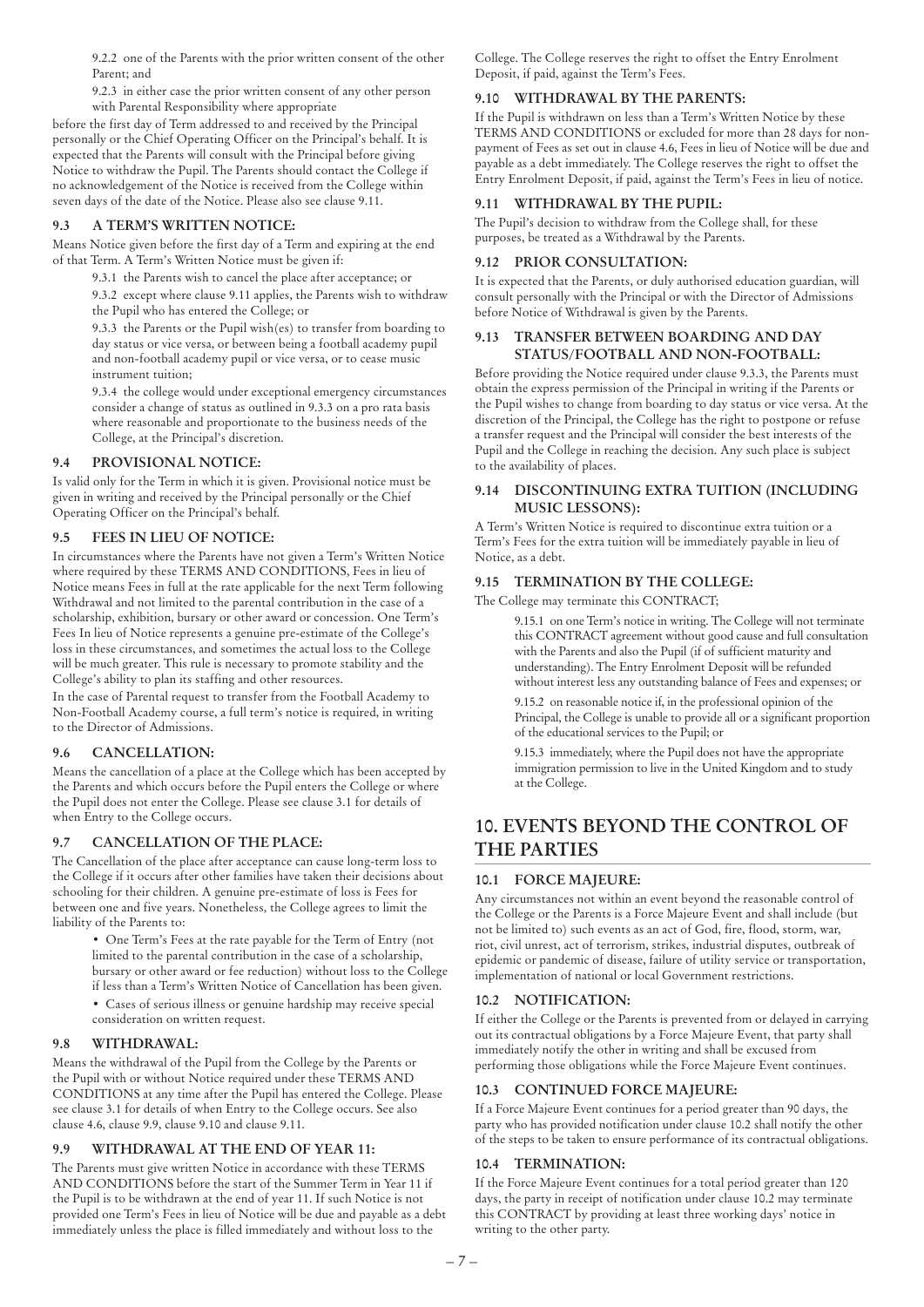9.2.2 one of the Parents with the prior written consent of the other Parent; and

9.2.3 in either case the prior written consent of any other person with Parental Responsibility where appropriate

before the first day of Term addressed to and received by the Principal personally or the Chief Operating Officer on the Principal's behalf. It is expected that the Parents will consult with the Principal before giving Notice to withdraw the Pupil. The Parents should contact the College if no acknowledgement of the Notice is received from the College within seven days of the date of the Notice. Please also see clause 9.11.

# **9.3 A TERM'S WRITTEN NOTICE:**

Means Notice given before the first day of a Term and expiring at the end of that Term. A Term's Written Notice must be given if:

9.3.1 the Parents wish to cancel the place after acceptance; or

9.3.2 except where clause 9.11 applies, the Parents wish to withdraw the Pupil who has entered the College; or

9.3.3 the Parents or the Pupil wish(es) to transfer from boarding to day status or vice versa, or between being a football academy pupil and non-football academy pupil or vice versa, or to cease music instrument tuition;

9.3.4 the college would under exceptional emergency circumstances consider a change of status as outlined in 9.3.3 on a pro rata basis where reasonable and proportionate to the business needs of the College, at the Principal's discretion.

#### **9.4 PROVISIONAL NOTICE:**

Is valid only for the Term in which it is given. Provisional notice must be given in writing and received by the Principal personally or the Chief Operating Officer on the Principal's behalf.

#### **9.5 FEES IN LIEU OF NOTICE:**

In circumstances where the Parents have not given a Term's Written Notice where required by these TERMS AND CONDITIONS, Fees in lieu of Notice means Fees in full at the rate applicable for the next Term following Withdrawal and not limited to the parental contribution in the case of a scholarship, exhibition, bursary or other award or concession. One Term's Fees In lieu of Notice represents a genuine pre-estimate of the College's loss in these circumstances, and sometimes the actual loss to the College will be much greater. This rule is necessary to promote stability and the College's ability to plan its staffing and other resources.

In the case of Parental request to transfer from the Football Academy to Non-Football Academy course, a full term's notice is required, in writing to the Director of Admissions.

# **9.6 CANCELLATION:**

Means the cancellation of a place at the College which has been accepted by the Parents and which occurs before the Pupil enters the College or where the Pupil does not enter the College. Please see clause 3.1 for details of when Entry to the College occurs.

# **9.7 CANCELLATION OF THE PLACE:**

The Cancellation of the place after acceptance can cause long-term loss to the College if it occurs after other families have taken their decisions about schooling for their children. A genuine pre-estimate of loss is Fees for between one and five years. Nonetheless, the College agrees to limit the liability of the Parents to:

> • One Term's Fees at the rate payable for the Term of Entry (not limited to the parental contribution in the case of a scholarship, bursary or other award or fee reduction) without loss to the College if less than a Term's Written Notice of Cancellation has been given.

• Cases of serious illness or genuine hardship may receive special consideration on written request.

#### **9.8 WITHDRAWAL:**

Means the withdrawal of the Pupil from the College by the Parents or the Pupil with or without Notice required under these TERMS AND CONDITIONS at any time after the Pupil has entered the College. Please see clause 3.1 for details of when Entry to the College occurs. See also clause 4.6, clause 9.9, clause 9.10 and clause 9.11.

# **9.9 WITHDRAWAL AT THE END OF YEAR 11:**

The Parents must give written Notice in accordance with these TERMS AND CONDITIONS before the start of the Summer Term in Year 11 if the Pupil is to be withdrawn at the end of year 11. If such Notice is not provided one Term's Fees in lieu of Notice will be due and payable as a debt immediately unless the place is filled immediately and without loss to the

College. The College reserves the right to offset the Entry Enrolment Deposit, if paid, against the Term's Fees.

# **9.10 WITHDRAWAL BY THE PARENTS:**

If the Pupil is withdrawn on less than a Term's Written Notice by these TERMS AND CONDITIONS or excluded for more than 28 days for nonpayment of Fees as set out in clause 4.6, Fees in lieu of Notice will be due and payable as a debt immediately. The College reserves the right to offset the Entry Enrolment Deposit, if paid, against the Term's Fees in lieu of notice.

#### **9.11 WITHDRAWAL BY THE PUPIL:**

The Pupil's decision to withdraw from the College shall, for these purposes, be treated as a Withdrawal by the Parents.

#### **9.12 PRIOR CONSULTATION:**

It is expected that the Parents, or duly authorised education guardian, will consult personally with the Principal or with the Director of Admissions before Notice of Withdrawal is given by the Parents.

#### **9.13 TRANSFER BETWEEN BOARDING AND DAY STATUS/FOOTBALL AND NON-FOOTBALL:**

Before providing the Notice required under clause 9.3.3, the Parents must obtain the express permission of the Principal in writing if the Parents or the Pupil wishes to change from boarding to day status or vice versa. At the discretion of the Principal, the College has the right to postpone or refuse a transfer request and the Principal will consider the best interests of the Pupil and the College in reaching the decision. Any such place is subject to the availability of places.

#### **9.14 DISCONTINUING EXTRA TUITION (INCLUDING MUSIC LESSONS):**

A Term's Written Notice is required to discontinue extra tuition or a Term's Fees for the extra tuition will be immediately payable in lieu of Notice, as a debt.

# **9.15 TERMINATION BY THE COLLEGE:**

The College may terminate this CONTRACT;

9.15.1 on one Term's notice in writing. The College will not terminate this CONTRACT agreement without good cause and full consultation with the Parents and also the Pupil (if of sufficient maturity and understanding). The Entry Enrolment Deposit will be refunded without interest less any outstanding balance of Fees and expenses; or

9.15.2 on reasonable notice if, in the professional opinion of the Principal, the College is unable to provide all or a significant proportion of the educational services to the Pupil; or

9.15.3 immediately, where the Pupil does not have the appropriate immigration permission to live in the United Kingdom and to study at the College.

# **10. EVENTS BEYOND THE CONTROL OF THE PARTIES**

# **10.1 FORCE MAJEURE:**

Any circumstances not within an event beyond the reasonable control of the College or the Parents is a Force Majeure Event and shall include (but not be limited to) such events as an act of God, fire, flood, storm, war, riot, civil unrest, act of terrorism, strikes, industrial disputes, outbreak of epidemic or pandemic of disease, failure of utility service or transportation, implementation of national or local Government restrictions.

# **10.2 NOTIFICATION:**

If either the College or the Parents is prevented from or delayed in carrying out its contractual obligations by a Force Majeure Event, that party shall immediately notify the other in writing and shall be excused from performing those obligations while the Force Majeure Event continues.

# **10.3 CONTINUED FORCE MAJEURE:**

If a Force Majeure Event continues for a period greater than 90 days, the party who has provided notification under clause 10.2 shall notify the other of the steps to be taken to ensure performance of its contractual obligations.

#### **10.4 TERMINATION:**

If the Force Majeure Event continues for a total period greater than 120 days, the party in receipt of notification under clause 10.2 may terminate this CONTRACT by providing at least three working days' notice in writing to the other party.